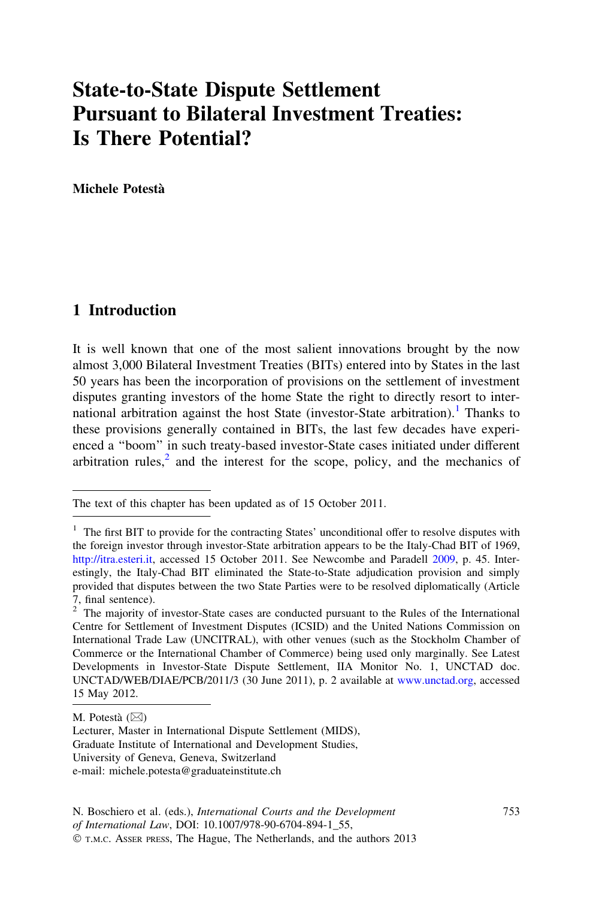# State-to-State Dispute Settlement Pursuant to Bilateral Investment Treaties: Is There Potential?

Michele Potestà

### 1 Introduction

It is well known that one of the most salient innovations brought by the now almost 3,000 Bilateral Investment Treaties (BITs) entered into by States in the last 50 years has been the incorporation of provisions on the settlement of investment disputes granting investors of the home State the right to directly resort to international arbitration against the host State (investor-State arbitration).<sup>1</sup> Thanks to these provisions generally contained in BITs, the last few decades have experienced a ''boom'' in such treaty-based investor-State cases initiated under different arbitration rules, $<sup>2</sup>$  and the interest for the scope, policy, and the mechanics of</sup>

M. Potestà  $(\boxtimes)$ 

The text of this chapter has been updated as of 15 October 2011.

 $1$  The first BIT to provide for the contracting States' unconditional offer to resolve disputes with the foreign investor through investor-State arbitration appears to be the Italy-Chad BIT of 1969, <http://itra.esteri.it>, accessed 15 October 2011. See Newcombe and Paradell [2009,](#page-14-0) p. 45. Interestingly, the Italy-Chad BIT eliminated the State-to-State adjudication provision and simply provided that disputes between the two State Parties were to be resolved diplomatically (Article 7, final sentence).

 $2$  The majority of investor-State cases are conducted pursuant to the Rules of the International Centre for Settlement of Investment Disputes (ICSID) and the United Nations Commission on International Trade Law (UNCITRAL), with other venues (such as the Stockholm Chamber of Commerce or the International Chamber of Commerce) being used only marginally. See Latest Developments in Investor-State Dispute Settlement, IIA Monitor No. 1, UNCTAD doc. UNCTAD/WEB/DIAE/PCB/2011/3 (30 June 2011), p. 2 available at [www.unctad.org](http://www.unctad.org), accessed 15 May 2012.

Lecturer, Master in International Dispute Settlement (MIDS), Graduate Institute of International and Development Studies, University of Geneva, Geneva, Switzerland

e-mail: michele.potesta@graduateinstitute.ch

N. Boschiero et al. (eds.), International Courts and the Development

of International Law, DOI: 10.1007/978-90-6704-894-1\_55,

<sup>©</sup> T.M.C. Asser Press, The Hague, The Netherlands, and the authors 2013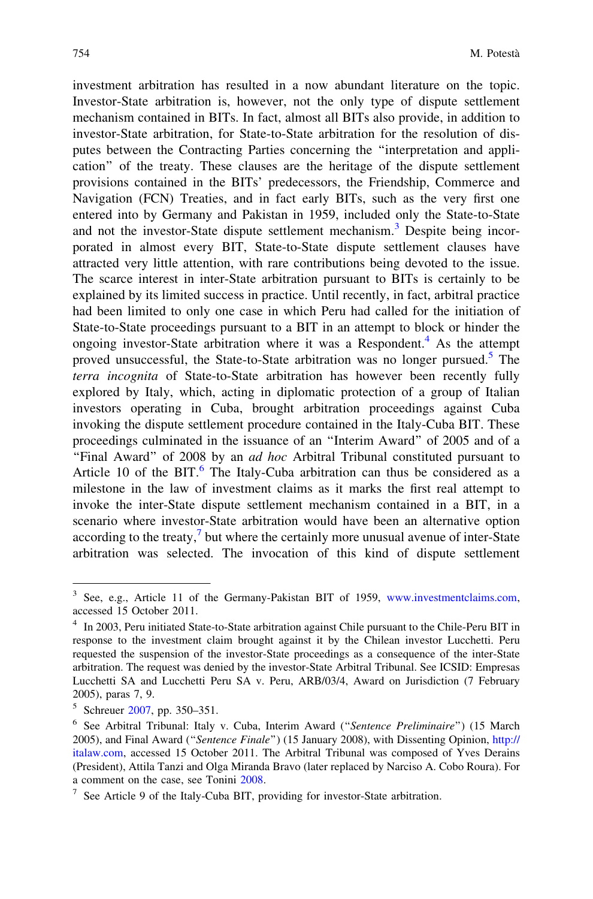investment arbitration has resulted in a now abundant literature on the topic. Investor-State arbitration is, however, not the only type of dispute settlement mechanism contained in BITs. In fact, almost all BITs also provide, in addition to investor-State arbitration, for State-to-State arbitration for the resolution of disputes between the Contracting Parties concerning the ''interpretation and application'' of the treaty. These clauses are the heritage of the dispute settlement provisions contained in the BITs' predecessors, the Friendship, Commerce and Navigation (FCN) Treaties, and in fact early BITs, such as the very first one entered into by Germany and Pakistan in 1959, included only the State-to-State and not the investor-State dispute settlement mechanism.<sup>3</sup> Despite being incorporated in almost every BIT, State-to-State dispute settlement clauses have attracted very little attention, with rare contributions being devoted to the issue. The scarce interest in inter-State arbitration pursuant to BITs is certainly to be explained by its limited success in practice. Until recently, in fact, arbitral practice had been limited to only one case in which Peru had called for the initiation of State-to-State proceedings pursuant to a BIT in an attempt to block or hinder the ongoing investor-State arbitration where it was a Respondent.<sup>4</sup> As the attempt proved unsuccessful, the State-to-State arbitration was no longer pursued.<sup>5</sup> The terra incognita of State-to-State arbitration has however been recently fully explored by Italy, which, acting in diplomatic protection of a group of Italian investors operating in Cuba, brought arbitration proceedings against Cuba invoking the dispute settlement procedure contained in the Italy-Cuba BIT. These proceedings culminated in the issuance of an ''Interim Award'' of 2005 and of a "Final Award" of 2008 by an *ad hoc* Arbitral Tribunal constituted pursuant to Article 10 of the BIT. $<sup>6</sup>$  The Italy-Cuba arbitration can thus be considered as a</sup> milestone in the law of investment claims as it marks the first real attempt to invoke the inter-State dispute settlement mechanism contained in a BIT, in a scenario where investor-State arbitration would have been an alternative option according to the treaty, $\frac{7}{1}$  but where the certainly more unusual avenue of inter-State arbitration was selected. The invocation of this kind of dispute settlement

<sup>&</sup>lt;sup>3</sup> See, e.g., Article 11 of the Germany-Pakistan BIT of 1959, [www.investmentclaims.com](http://www.investmentclaims.com), accessed 15 October 2011.

<sup>&</sup>lt;sup>4</sup> In 2003, Peru initiated State-to-State arbitration against Chile pursuant to the Chile-Peru BIT in response to the investment claim brought against it by the Chilean investor Lucchetti. Peru requested the suspension of the investor-State proceedings as a consequence of the inter-State arbitration. The request was denied by the investor-State Arbitral Tribunal. See ICSID: Empresas Lucchetti SA and Lucchetti Peru SA v. Peru, ARB/03/4, Award on Jurisdiction (7 February 2005), paras 7, 9.

 $5$  Schreuer [2007,](#page-15-0) pp. 350–351.

<sup>6</sup> See Arbitral Tribunal: Italy v. Cuba, Interim Award (''Sentence Preliminaire'') (15 March 2005), and Final Award (''Sentence Finale'') (15 January 2008), with Dissenting Opinion, [http://](http://italaw.com) [italaw.com](http://italaw.com), accessed 15 October 2011. The Arbitral Tribunal was composed of Yves Derains (President), Attila Tanzi and Olga Miranda Bravo (later replaced by Narciso A. Cobo Roura). For a comment on the case, see Tonini [2008](#page-15-0).

 $<sup>7</sup>$  See Article 9 of the Italy-Cuba BIT, providing for investor-State arbitration.</sup>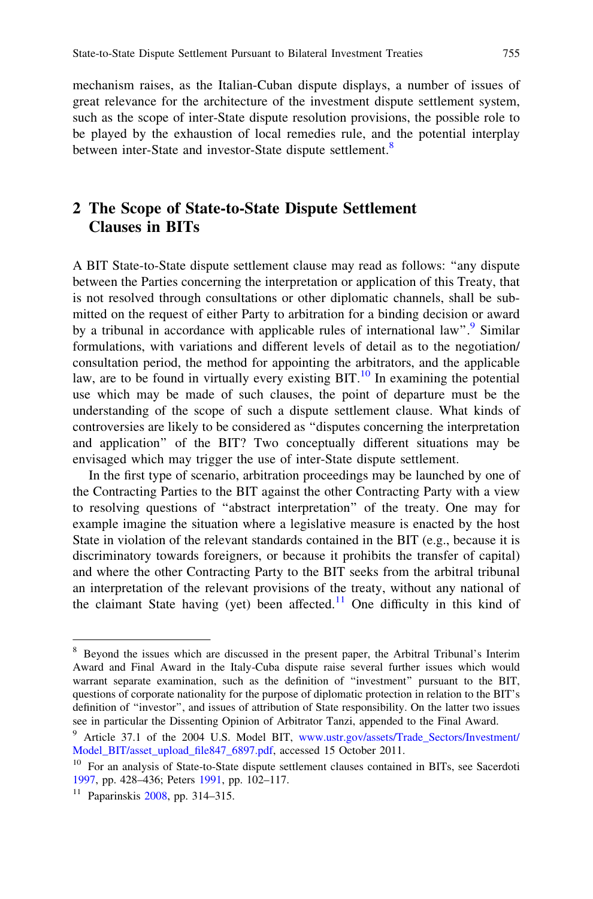mechanism raises, as the Italian-Cuban dispute displays, a number of issues of great relevance for the architecture of the investment dispute settlement system, such as the scope of inter-State dispute resolution provisions, the possible role to be played by the exhaustion of local remedies rule, and the potential interplay between inter-State and investor-State dispute settlement.<sup>8</sup>

## 2 The Scope of State-to-State Dispute Settlement Clauses in BITs

A BIT State-to-State dispute settlement clause may read as follows: ''any dispute between the Parties concerning the interpretation or application of this Treaty, that is not resolved through consultations or other diplomatic channels, shall be submitted on the request of either Party to arbitration for a binding decision or award by a tribunal in accordance with applicable rules of international law". Similar formulations, with variations and different levels of detail as to the negotiation/ consultation period, the method for appointing the arbitrators, and the applicable law, are to be found in virtually every existing  $BIT<sup>10</sup>$  In examining the potential use which may be made of such clauses, the point of departure must be the understanding of the scope of such a dispute settlement clause. What kinds of controversies are likely to be considered as ''disputes concerning the interpretation and application'' of the BIT? Two conceptually different situations may be envisaged which may trigger the use of inter-State dispute settlement.

In the first type of scenario, arbitration proceedings may be launched by one of the Contracting Parties to the BIT against the other Contracting Party with a view to resolving questions of ''abstract interpretation'' of the treaty. One may for example imagine the situation where a legislative measure is enacted by the host State in violation of the relevant standards contained in the BIT (e.g., because it is discriminatory towards foreigners, or because it prohibits the transfer of capital) and where the other Contracting Party to the BIT seeks from the arbitral tribunal an interpretation of the relevant provisions of the treaty, without any national of the claimant State having (yet) been affected.<sup>11</sup> One difficulty in this kind of

<sup>8</sup> Beyond the issues which are discussed in the present paper, the Arbitral Tribunal's Interim Award and Final Award in the Italy-Cuba dispute raise several further issues which would warrant separate examination, such as the definition of ''investment'' pursuant to the BIT, questions of corporate nationality for the purpose of diplomatic protection in relation to the BIT's definition of ''investor'', and issues of attribution of State responsibility. On the latter two issues see in particular the Dissenting Opinion of Arbitrator Tanzi, appended to the Final Award.

<sup>&</sup>lt;sup>9</sup> Article 37.1 of the 2004 U.S. Model BIT, [www.ustr.gov/assets/Trade\\_Sectors/Investment/](http://www.ustr.gov/assets/Trade_Sectors/Investment/Model_BIT/asset_upload_file847_6897.pdf) [Model\\_BIT/asset\\_upload\\_file847\\_6897.pdf,](http://www.ustr.gov/assets/Trade_Sectors/Investment/Model_BIT/asset_upload_file847_6897.pdf) accessed 15 October 2011.

<sup>&</sup>lt;sup>10</sup> For an analysis of State-to-State dispute settlement clauses contained in BITs, see Sacerdoti [1997,](#page-15-0) pp. 428–436; Peters [1991](#page-15-0), pp. 102–117.

<sup>11</sup> Paparinskis [2008](#page-14-0), pp. 314–315.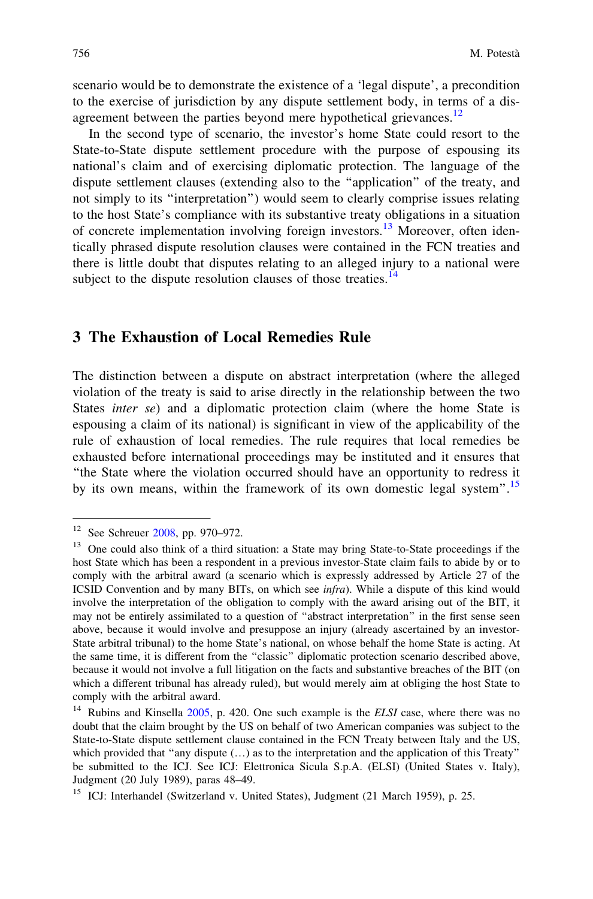scenario would be to demonstrate the existence of a 'legal dispute', a precondition to the exercise of jurisdiction by any dispute settlement body, in terms of a disagreement between the parties beyond mere hypothetical grievances. $^{12}$ 

In the second type of scenario, the investor's home State could resort to the State-to-State dispute settlement procedure with the purpose of espousing its national's claim and of exercising diplomatic protection. The language of the dispute settlement clauses (extending also to the ''application'' of the treaty, and not simply to its ''interpretation'') would seem to clearly comprise issues relating to the host State's compliance with its substantive treaty obligations in a situation of concrete implementation involving foreign investors.<sup>13</sup> Moreover, often identically phrased dispute resolution clauses were contained in the FCN treaties and there is little doubt that disputes relating to an alleged injury to a national were subject to the dispute resolution clauses of those treaties.<sup>14</sup>

### 3 The Exhaustion of Local Remedies Rule

The distinction between a dispute on abstract interpretation (where the alleged violation of the treaty is said to arise directly in the relationship between the two States *inter se*) and a diplomatic protection claim (where the home State is espousing a claim of its national) is significant in view of the applicability of the rule of exhaustion of local remedies. The rule requires that local remedies be exhausted before international proceedings may be instituted and it ensures that ''the State where the violation occurred should have an opportunity to redress it by its own means, within the framework of its own domestic legal system".<sup>15</sup>

See Schreuer [2008](#page-15-0), pp. 970–972.

<sup>&</sup>lt;sup>13</sup> One could also think of a third situation: a State may bring State-to-State proceedings if the host State which has been a respondent in a previous investor-State claim fails to abide by or to comply with the arbitral award (a scenario which is expressly addressed by Article 27 of the ICSID Convention and by many BITs, on which see infra). While a dispute of this kind would involve the interpretation of the obligation to comply with the award arising out of the BIT, it may not be entirely assimilated to a question of ''abstract interpretation'' in the first sense seen above, because it would involve and presuppose an injury (already ascertained by an investor-State arbitral tribunal) to the home State's national, on whose behalf the home State is acting. At the same time, it is different from the ''classic'' diplomatic protection scenario described above, because it would not involve a full litigation on the facts and substantive breaches of the BIT (on which a different tribunal has already ruled), but would merely aim at obliging the host State to comply with the arbitral award.

<sup>&</sup>lt;sup>14</sup> Rubins and Kinsella [2005,](#page-15-0) p. 420. One such example is the *ELSI* case, where there was no doubt that the claim brought by the US on behalf of two American companies was subject to the State-to-State dispute settlement clause contained in the FCN Treaty between Italy and the US, which provided that "any dispute  $(...)$  as to the interpretation and the application of this Treaty" be submitted to the ICJ. See ICJ: Elettronica Sicula S.p.A. (ELSI) (United States v. Italy), Judgment (20 July 1989), paras 48–49.

<sup>&</sup>lt;sup>15</sup> ICJ: Interhandel (Switzerland v. United States), Judgment (21 March 1959), p. 25.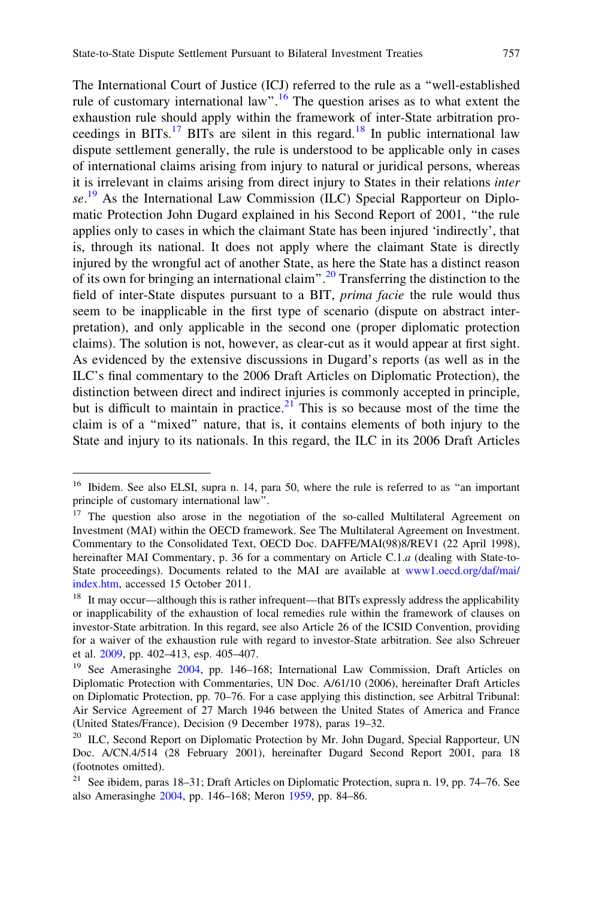The International Court of Justice (ICJ) referred to the rule as a ''well-established rule of customary international law".<sup>16</sup> The question arises as to what extent the exhaustion rule should apply within the framework of inter-State arbitration proceedings in BITs. $^{17}$  BITs are silent in this regard.<sup>18</sup> In public international law dispute settlement generally, the rule is understood to be applicable only in cases of international claims arising from injury to natural or juridical persons, whereas it is irrelevant in claims arising from direct injury to States in their relations inter se.<sup>19</sup> As the International Law Commission (ILC) Special Rapporteur on Diplomatic Protection John Dugard explained in his Second Report of 2001, ''the rule applies only to cases in which the claimant State has been injured 'indirectly', that is, through its national. It does not apply where the claimant State is directly injured by the wrongful act of another State, as here the State has a distinct reason of its own for bringing an international claim".<sup>20</sup> Transferring the distinction to the field of inter-State disputes pursuant to a BIT, *prima facie* the rule would thus seem to be inapplicable in the first type of scenario (dispute on abstract interpretation), and only applicable in the second one (proper diplomatic protection claims). The solution is not, however, as clear-cut as it would appear at first sight. As evidenced by the extensive discussions in Dugard's reports (as well as in the ILC's final commentary to the 2006 Draft Articles on Diplomatic Protection), the distinction between direct and indirect injuries is commonly accepted in principle, but is difficult to maintain in practice.<sup>21</sup> This is so because most of the time the claim is of a ''mixed'' nature, that is, it contains elements of both injury to the State and injury to its nationals. In this regard, the ILC in its 2006 Draft Articles

<sup>&</sup>lt;sup>16</sup> Ibidem. See also ELSI, supra n. 14, para 50, where the rule is referred to as "an important principle of customary international law''.

<sup>&</sup>lt;sup>17</sup> The question also arose in the negotiation of the so-called Multilateral Agreement on Investment (MAI) within the OECD framework. See The Multilateral Agreement on Investment. Commentary to the Consolidated Text, OECD Doc. DAFFE/MAI(98)8/REV1 (22 April 1998), hereinafter MAI Commentary, p. 36 for a commentary on Article C.1.a (dealing with State-to-State proceedings). Documents related to the MAI are available at [www1.oecd.org/daf/mai/](http://www1.oecd.org/daf/mai/index.htm) [index.htm](http://www1.oecd.org/daf/mai/index.htm), accessed 15 October 2011.

<sup>&</sup>lt;sup>18</sup> It may occur—although this is rather infrequent—that BITs expressly address the applicability or inapplicability of the exhaustion of local remedies rule within the framework of clauses on investor-State arbitration. In this regard, see also Article 26 of the ICSID Convention, providing for a waiver of the exhaustion rule with regard to investor-State arbitration. See also Schreuer et al. [2009,](#page-15-0) pp. 402–413, esp. 405–407.

<sup>&</sup>lt;sup>19</sup> See Amerasinghe [2004,](#page-14-0) pp. 146-168; International Law Commission, Draft Articles on Diplomatic Protection with Commentaries, UN Doc. A/61/10 (2006), hereinafter Draft Articles on Diplomatic Protection, pp. 70–76. For a case applying this distinction, see Arbitral Tribunal: Air Service Agreement of 27 March 1946 between the United States of America and France (United States/France), Decision (9 December 1978), paras 19–32.

<sup>&</sup>lt;sup>20</sup> ILC, Second Report on Diplomatic Protection by Mr. John Dugard, Special Rapporteur, UN Doc. A/CN.4/514 (28 February 2001), hereinafter Dugard Second Report 2001, para 18 (footnotes omitted).

<sup>&</sup>lt;sup>21</sup> See ibidem, paras 18–31; Draft Articles on Diplomatic Protection, supra n. 19, pp. 74–76. See also Amerasinghe [2004](#page-14-0), pp. 146–168; Meron [1959,](#page-14-0) pp. 84–86.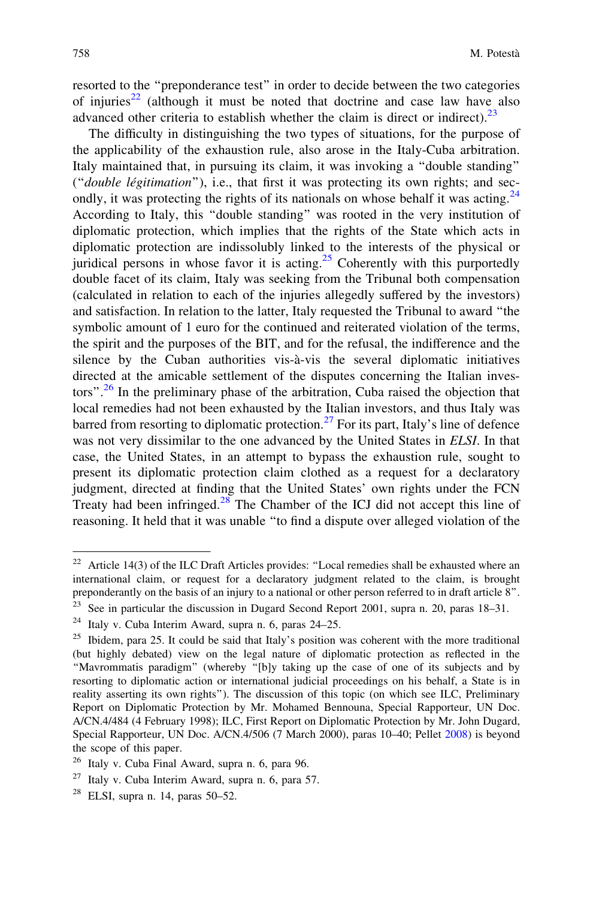resorted to the ''preponderance test'' in order to decide between the two categories of injuries<sup>22</sup> (although it must be noted that doctrine and case law have also advanced other criteria to establish whether the claim is direct or indirect).<sup>23</sup>

The difficulty in distinguishing the two types of situations, for the purpose of the applicability of the exhaustion rule, also arose in the Italy-Cuba arbitration. Italy maintained that, in pursuing its claim, it was invoking a ''double standing'' ("*double légitimation*"), i.e., that first it was protecting its own rights; and secondly, it was protecting the rights of its nationals on whose behalf it was acting.<sup>24</sup> According to Italy, this ''double standing'' was rooted in the very institution of diplomatic protection, which implies that the rights of the State which acts in diplomatic protection are indissolubly linked to the interests of the physical or juridical persons in whose favor it is acting.<sup>25</sup> Coherently with this purportedly double facet of its claim, Italy was seeking from the Tribunal both compensation (calculated in relation to each of the injuries allegedly suffered by the investors) and satisfaction. In relation to the latter, Italy requested the Tribunal to award ''the symbolic amount of 1 euro for the continued and reiterated violation of the terms, the spirit and the purposes of the BIT, and for the refusal, the indifference and the silence by the Cuban authorities vis-à-vis the several diplomatic initiatives directed at the amicable settlement of the disputes concerning the Italian investors".<sup>26</sup> In the preliminary phase of the arbitration, Cuba raised the objection that local remedies had not been exhausted by the Italian investors, and thus Italy was barred from resorting to diplomatic protection.<sup>27</sup> For its part, Italy's line of defence was not very dissimilar to the one advanced by the United States in ELSI. In that case, the United States, in an attempt to bypass the exhaustion rule, sought to present its diplomatic protection claim clothed as a request for a declaratory judgment, directed at finding that the United States' own rights under the FCN Treaty had been infringed. $28$  The Chamber of the ICJ did not accept this line of reasoning. It held that it was unable ''to find a dispute over alleged violation of the

<sup>&</sup>lt;sup>22</sup> Article 14(3) of the ILC Draft Articles provides: "Local remedies shall be exhausted where an international claim, or request for a declaratory judgment related to the claim, is brought preponderantly on the basis of an injury to a national or other person referred to in draft article 8''.

<sup>23</sup> See in particular the discussion in Dugard Second Report 2001, supra n. 20, paras 18–31.

<sup>24</sup> Italy v. Cuba Interim Award, supra n. 6, paras 24–25.

<sup>&</sup>lt;sup>25</sup> Ibidem, para 25. It could be said that Italy's position was coherent with the more traditional (but highly debated) view on the legal nature of diplomatic protection as reflected in the ''Mavrommatis paradigm'' (whereby ''[b]y taking up the case of one of its subjects and by resorting to diplomatic action or international judicial proceedings on his behalf, a State is in reality asserting its own rights''). The discussion of this topic (on which see ILC, Preliminary Report on Diplomatic Protection by Mr. Mohamed Bennouna, Special Rapporteur, UN Doc. A/CN.4/484 (4 February 1998); ILC, First Report on Diplomatic Protection by Mr. John Dugard, Special Rapporteur, UN Doc. A/CN.4/506 (7 March 2000), paras 10–40; Pellet [2008\)](#page-15-0) is beyond the scope of this paper.

<sup>26</sup> Italy v. Cuba Final Award, supra n. 6, para 96.

<sup>27</sup> Italy v. Cuba Interim Award, supra n. 6, para 57.

<sup>28</sup> ELSI, supra n. 14, paras 50–52.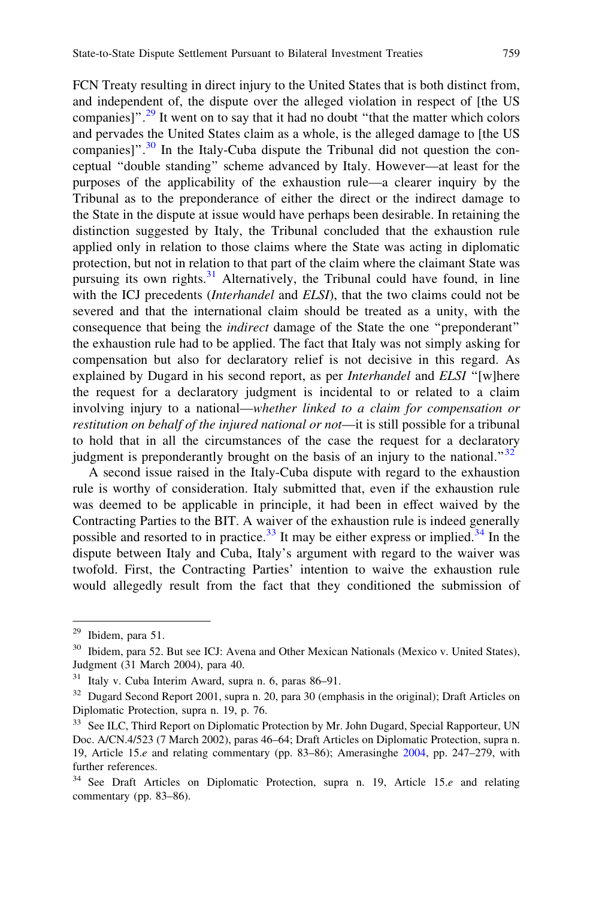FCN Treaty resulting in direct injury to the United States that is both distinct from, and independent of, the dispute over the alleged violation in respect of [the US companies]''.<sup>29</sup> It went on to say that it had no doubt ''that the matter which colors and pervades the United States claim as a whole, is the alleged damage to [the US companies]".<sup>30</sup> In the Italy-Cuba dispute the Tribunal did not question the conceptual ''double standing'' scheme advanced by Italy. However—at least for the purposes of the applicability of the exhaustion rule—a clearer inquiry by the Tribunal as to the preponderance of either the direct or the indirect damage to the State in the dispute at issue would have perhaps been desirable. In retaining the distinction suggested by Italy, the Tribunal concluded that the exhaustion rule applied only in relation to those claims where the State was acting in diplomatic protection, but not in relation to that part of the claim where the claimant State was pursuing its own rights. $31$  Alternatively, the Tribunal could have found, in line with the ICJ precedents *(Interhandel and ELSI)*, that the two claims could not be severed and that the international claim should be treated as a unity, with the consequence that being the indirect damage of the State the one ''preponderant'' the exhaustion rule had to be applied. The fact that Italy was not simply asking for compensation but also for declaratory relief is not decisive in this regard. As explained by Dugard in his second report, as per *Interhandel* and *ELSI* "[w]here the request for a declaratory judgment is incidental to or related to a claim involving injury to a national—whether linked to a claim for compensation or restitution on behalf of the injured national or not—it is still possible for a tribunal to hold that in all the circumstances of the case the request for a declaratory judgment is preponderantly brought on the basis of an injury to the national."<sup>32</sup>

A second issue raised in the Italy-Cuba dispute with regard to the exhaustion rule is worthy of consideration. Italy submitted that, even if the exhaustion rule was deemed to be applicable in principle, it had been in effect waived by the Contracting Parties to the BIT. A waiver of the exhaustion rule is indeed generally possible and resorted to in practice.<sup>33</sup> It may be either express or implied.<sup>34</sup> In the dispute between Italy and Cuba, Italy's argument with regard to the waiver was twofold. First, the Contracting Parties' intention to waive the exhaustion rule would allegedly result from the fact that they conditioned the submission of

<sup>29</sup> Ibidem, para 51.

<sup>&</sup>lt;sup>30</sup> Ibidem, para 52. But see ICJ: Avena and Other Mexican Nationals (Mexico v. United States), Judgment (31 March 2004), para 40.

<sup>31</sup> Italy v. Cuba Interim Award, supra n. 6, paras 86–91.

<sup>&</sup>lt;sup>32</sup> Dugard Second Report 2001, supra n. 20, para 30 (emphasis in the original); Draft Articles on Diplomatic Protection, supra n. 19, p. 76.

<sup>&</sup>lt;sup>33</sup> See ILC, Third Report on Diplomatic Protection by Mr. John Dugard, Special Rapporteur, UN Doc. A/CN.4/523 (7 March 2002), paras 46–64; Draft Articles on Diplomatic Protection, supra n. 19, Article 15.e and relating commentary (pp. 83–86); Amerasinghe [2004,](#page-14-0) pp. 247–279, with further references.

<sup>&</sup>lt;sup>34</sup> See Draft Articles on Diplomatic Protection, supra n. 19, Article 15.e and relating commentary (pp. 83–86).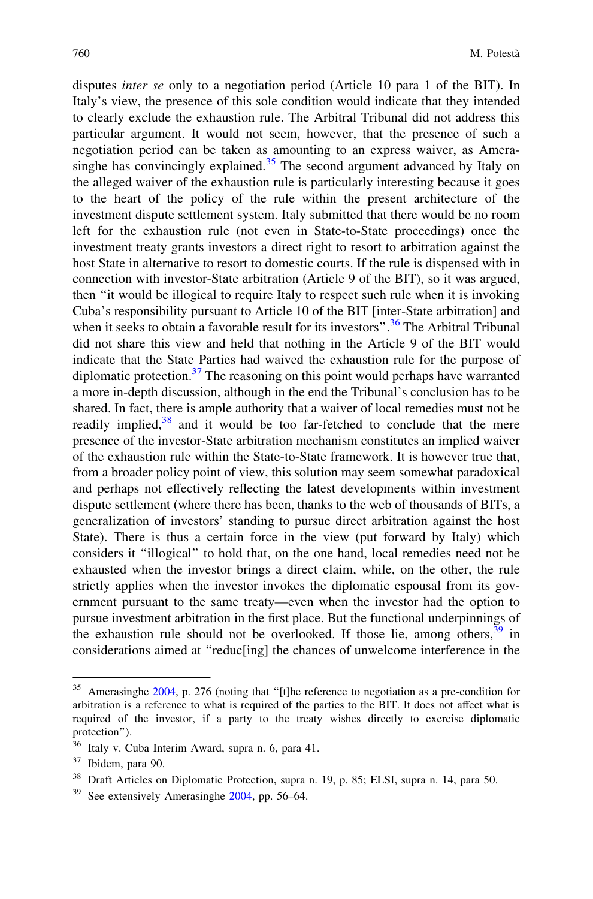disputes inter se only to a negotiation period (Article 10 para 1 of the BIT). In Italy's view, the presence of this sole condition would indicate that they intended to clearly exclude the exhaustion rule. The Arbitral Tribunal did not address this particular argument. It would not seem, however, that the presence of such a negotiation period can be taken as amounting to an express waiver, as Amerasinghe has convincingly explained. $35$  The second argument advanced by Italy on the alleged waiver of the exhaustion rule is particularly interesting because it goes to the heart of the policy of the rule within the present architecture of the investment dispute settlement system. Italy submitted that there would be no room left for the exhaustion rule (not even in State-to-State proceedings) once the investment treaty grants investors a direct right to resort to arbitration against the host State in alternative to resort to domestic courts. If the rule is dispensed with in connection with investor-State arbitration (Article 9 of the BIT), so it was argued, then ''it would be illogical to require Italy to respect such rule when it is invoking Cuba's responsibility pursuant to Article 10 of the BIT [inter-State arbitration] and when it seeks to obtain a favorable result for its investors".<sup>36</sup> The Arbitral Tribunal did not share this view and held that nothing in the Article 9 of the BIT would indicate that the State Parties had waived the exhaustion rule for the purpose of diplomatic protection.<sup>37</sup> The reasoning on this point would perhaps have warranted a more in-depth discussion, although in the end the Tribunal's conclusion has to be shared. In fact, there is ample authority that a waiver of local remedies must not be readily implied, $38$  and it would be too far-fetched to conclude that the mere presence of the investor-State arbitration mechanism constitutes an implied waiver of the exhaustion rule within the State-to-State framework. It is however true that, from a broader policy point of view, this solution may seem somewhat paradoxical and perhaps not effectively reflecting the latest developments within investment dispute settlement (where there has been, thanks to the web of thousands of BITs, a generalization of investors' standing to pursue direct arbitration against the host State). There is thus a certain force in the view (put forward by Italy) which considers it ''illogical'' to hold that, on the one hand, local remedies need not be exhausted when the investor brings a direct claim, while, on the other, the rule strictly applies when the investor invokes the diplomatic espousal from its government pursuant to the same treaty—even when the investor had the option to pursue investment arbitration in the first place. But the functional underpinnings of the exhaustion rule should not be overlooked. If those lie, among others,  $39 \text{ in}$ considerations aimed at ''reduc[ing] the chances of unwelcome interference in the

<sup>&</sup>lt;sup>35</sup> Amerasinghe [2004](#page-14-0), p. 276 (noting that "[t]he reference to negotiation as a pre-condition for arbitration is a reference to what is required of the parties to the BIT. It does not affect what is required of the investor, if a party to the treaty wishes directly to exercise diplomatic protection'').

<sup>36</sup> Italy v. Cuba Interim Award, supra n. 6, para 41.

<sup>37</sup> Ibidem, para 90.

<sup>38</sup> Draft Articles on Diplomatic Protection, supra n. 19, p. 85; ELSI, supra n. 14, para 50.

<sup>&</sup>lt;sup>39</sup> See extensively Amerasinghe [2004,](#page-14-0) pp. 56–64.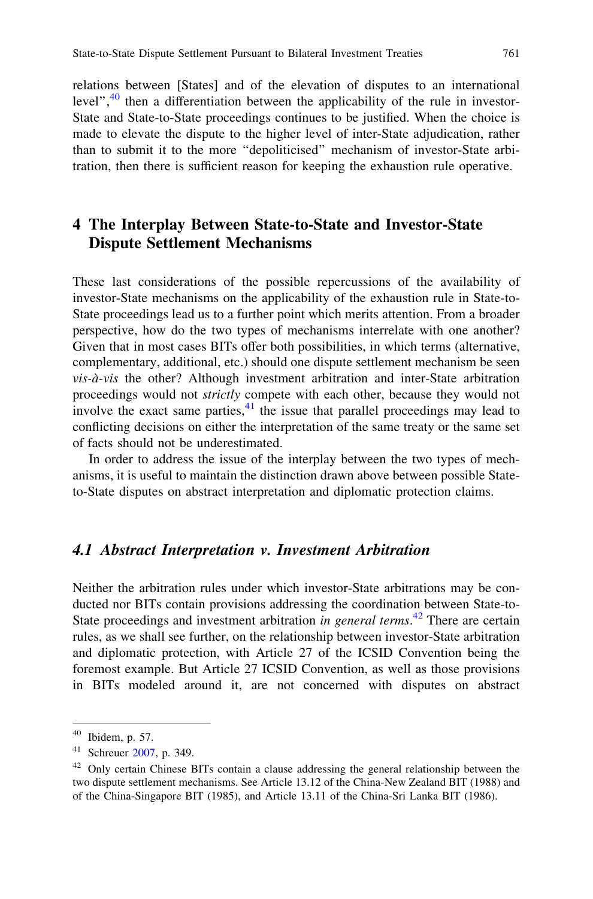relations between [States] and of the elevation of disputes to an international level",<sup>40</sup> then a differentiation between the applicability of the rule in investor-State and State-to-State proceedings continues to be justified. When the choice is made to elevate the dispute to the higher level of inter-State adjudication, rather than to submit it to the more ''depoliticised'' mechanism of investor-State arbitration, then there is sufficient reason for keeping the exhaustion rule operative.

# 4 The Interplay Between State-to-State and Investor-State Dispute Settlement Mechanisms

These last considerations of the possible repercussions of the availability of investor-State mechanisms on the applicability of the exhaustion rule in State-to-State proceedings lead us to a further point which merits attention. From a broader perspective, how do the two types of mechanisms interrelate with one another? Given that in most cases BITs offer both possibilities, in which terms (alternative, complementary, additional, etc.) should one dispute settlement mechanism be seen vis-à-vis the other? Although investment arbitration and inter-State arbitration proceedings would not *strictly* compete with each other, because they would not involve the exact same parties, $\frac{41}{1}$  the issue that parallel proceedings may lead to conflicting decisions on either the interpretation of the same treaty or the same set of facts should not be underestimated.

In order to address the issue of the interplay between the two types of mechanisms, it is useful to maintain the distinction drawn above between possible Stateto-State disputes on abstract interpretation and diplomatic protection claims.

### 4.1 Abstract Interpretation v. Investment Arbitration

Neither the arbitration rules under which investor-State arbitrations may be conducted nor BITs contain provisions addressing the coordination between State-to-State proceedings and investment arbitration in general terms.<sup>42</sup> There are certain rules, as we shall see further, on the relationship between investor-State arbitration and diplomatic protection, with Article 27 of the ICSID Convention being the foremost example. But Article 27 ICSID Convention, as well as those provisions in BITs modeled around it, are not concerned with disputes on abstract

<sup>40</sup> Ibidem, p. 57.

<sup>41</sup> Schreuer [2007](#page-15-0), p. 349.

<sup>&</sup>lt;sup>42</sup> Only certain Chinese BITs contain a clause addressing the general relationship between the two dispute settlement mechanisms. See Article 13.12 of the China-New Zealand BIT (1988) and of the China-Singapore BIT (1985), and Article 13.11 of the China-Sri Lanka BIT (1986).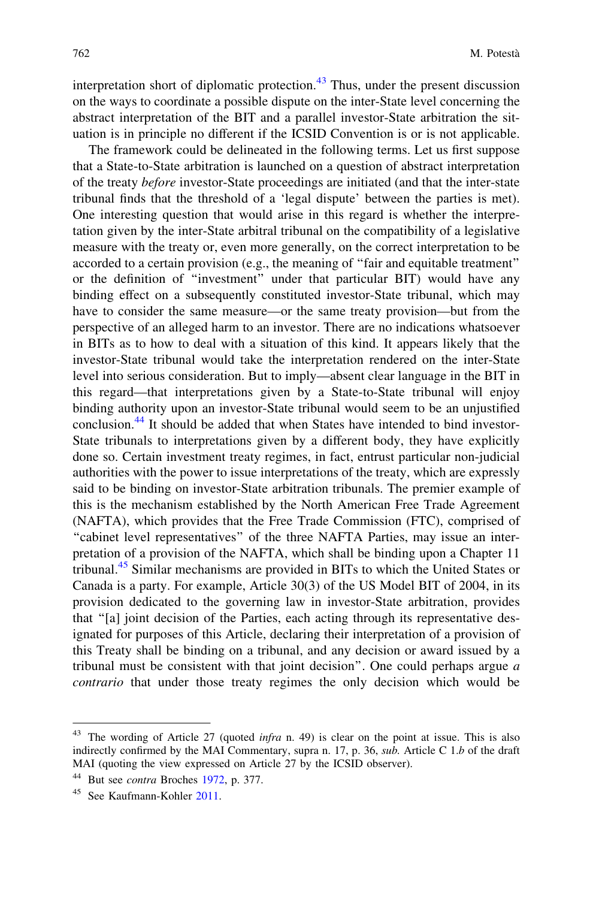interpretation short of diplomatic protection. $43$  Thus, under the present discussion on the ways to coordinate a possible dispute on the inter-State level concerning the abstract interpretation of the BIT and a parallel investor-State arbitration the situation is in principle no different if the ICSID Convention is or is not applicable.

The framework could be delineated in the following terms. Let us first suppose that a State-to-State arbitration is launched on a question of abstract interpretation of the treaty before investor-State proceedings are initiated (and that the inter-state tribunal finds that the threshold of a 'legal dispute' between the parties is met). One interesting question that would arise in this regard is whether the interpretation given by the inter-State arbitral tribunal on the compatibility of a legislative measure with the treaty or, even more generally, on the correct interpretation to be accorded to a certain provision (e.g., the meaning of ''fair and equitable treatment'' or the definition of ''investment'' under that particular BIT) would have any binding effect on a subsequently constituted investor-State tribunal, which may have to consider the same measure—or the same treaty provision—but from the perspective of an alleged harm to an investor. There are no indications whatsoever in BITs as to how to deal with a situation of this kind. It appears likely that the investor-State tribunal would take the interpretation rendered on the inter-State level into serious consideration. But to imply—absent clear language in the BIT in this regard—that interpretations given by a State-to-State tribunal will enjoy binding authority upon an investor-State tribunal would seem to be an unjustified conclusion.<sup>44</sup> It should be added that when States have intended to bind investor-State tribunals to interpretations given by a different body, they have explicitly done so. Certain investment treaty regimes, in fact, entrust particular non-judicial authorities with the power to issue interpretations of the treaty, which are expressly said to be binding on investor-State arbitration tribunals. The premier example of this is the mechanism established by the North American Free Trade Agreement (NAFTA), which provides that the Free Trade Commission (FTC), comprised of "cabinet level representatives" of the three NAFTA Parties, may issue an interpretation of a provision of the NAFTA, which shall be binding upon a Chapter 11 tribunal.45 Similar mechanisms are provided in BITs to which the United States or Canada is a party. For example, Article 30(3) of the US Model BIT of 2004, in its provision dedicated to the governing law in investor-State arbitration, provides that ''[a] joint decision of the Parties, each acting through its representative designated for purposes of this Article, declaring their interpretation of a provision of this Treaty shall be binding on a tribunal, and any decision or award issued by a tribunal must be consistent with that joint decision". One could perhaps argue  $a$ contrario that under those treaty regimes the only decision which would be

 $43$  The wording of Article 27 (quoted infra n. 49) is clear on the point at issue. This is also indirectly confirmed by the MAI Commentary, supra n. 17, p. 36, sub. Article C 1.b of the draft MAI (quoting the view expressed on Article 27 by the ICSID observer).

<sup>44</sup> But see contra Broches [1972](#page-14-0), p. 377.

<sup>45</sup> See Kaufmann-Kohler [2011](#page-14-0).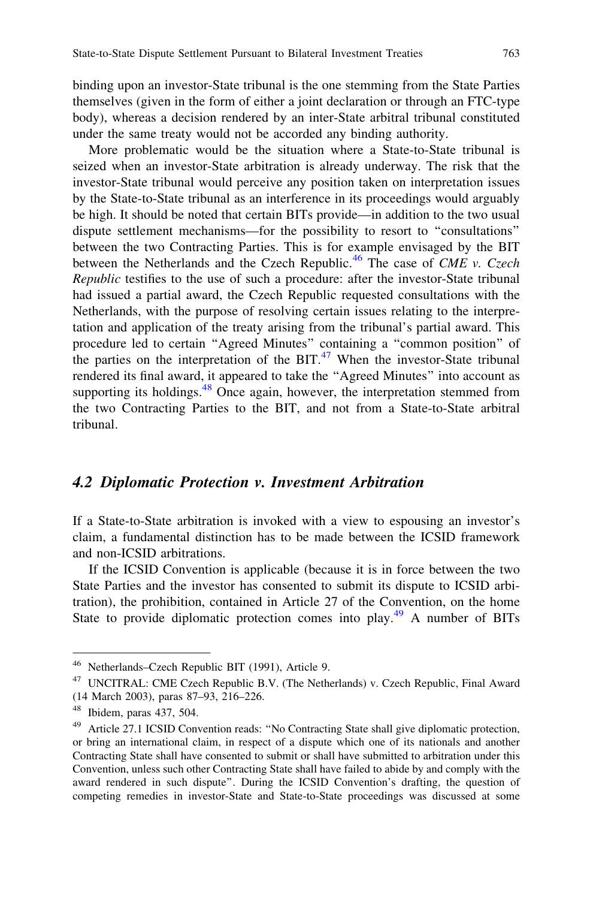binding upon an investor-State tribunal is the one stemming from the State Parties themselves (given in the form of either a joint declaration or through an FTC-type body), whereas a decision rendered by an inter-State arbitral tribunal constituted under the same treaty would not be accorded any binding authority.

More problematic would be the situation where a State-to-State tribunal is seized when an investor-State arbitration is already underway. The risk that the investor-State tribunal would perceive any position taken on interpretation issues by the State-to-State tribunal as an interference in its proceedings would arguably be high. It should be noted that certain BITs provide—in addition to the two usual dispute settlement mechanisms—for the possibility to resort to ''consultations'' between the two Contracting Parties. This is for example envisaged by the BIT between the Netherlands and the Czech Republic.<sup>46</sup> The case of *CME v. Czech* Republic testifies to the use of such a procedure: after the investor-State tribunal had issued a partial award, the Czech Republic requested consultations with the Netherlands, with the purpose of resolving certain issues relating to the interpretation and application of the treaty arising from the tribunal's partial award. This procedure led to certain ''Agreed Minutes'' containing a ''common position'' of the parties on the interpretation of the BIT.<sup>47</sup> When the investor-State tribunal rendered its final award, it appeared to take the ''Agreed Minutes'' into account as supporting its holdings. $48$  Once again, however, the interpretation stemmed from the two Contracting Parties to the BIT, and not from a State-to-State arbitral tribunal.

## 4.2 Diplomatic Protection v. Investment Arbitration

If a State-to-State arbitration is invoked with a view to espousing an investor's claim, a fundamental distinction has to be made between the ICSID framework and non-ICSID arbitrations.

If the ICSID Convention is applicable (because it is in force between the two State Parties and the investor has consented to submit its dispute to ICSID arbitration), the prohibition, contained in Article 27 of the Convention, on the home State to provide diplomatic protection comes into play.<sup>49</sup> A number of BITs

<sup>46</sup> Netherlands–Czech Republic BIT (1991), Article 9.

<sup>47</sup> UNCITRAL: CME Czech Republic B.V. (The Netherlands) v. Czech Republic, Final Award (14 March 2003), paras 87–93, 216–226.

<sup>48</sup> Ibidem, paras 437, 504.

<sup>&</sup>lt;sup>49</sup> Article 27.1 ICSID Convention reads: "No Contracting State shall give diplomatic protection, or bring an international claim, in respect of a dispute which one of its nationals and another Contracting State shall have consented to submit or shall have submitted to arbitration under this Convention, unless such other Contracting State shall have failed to abide by and comply with the award rendered in such dispute''. During the ICSID Convention's drafting, the question of competing remedies in investor-State and State-to-State proceedings was discussed at some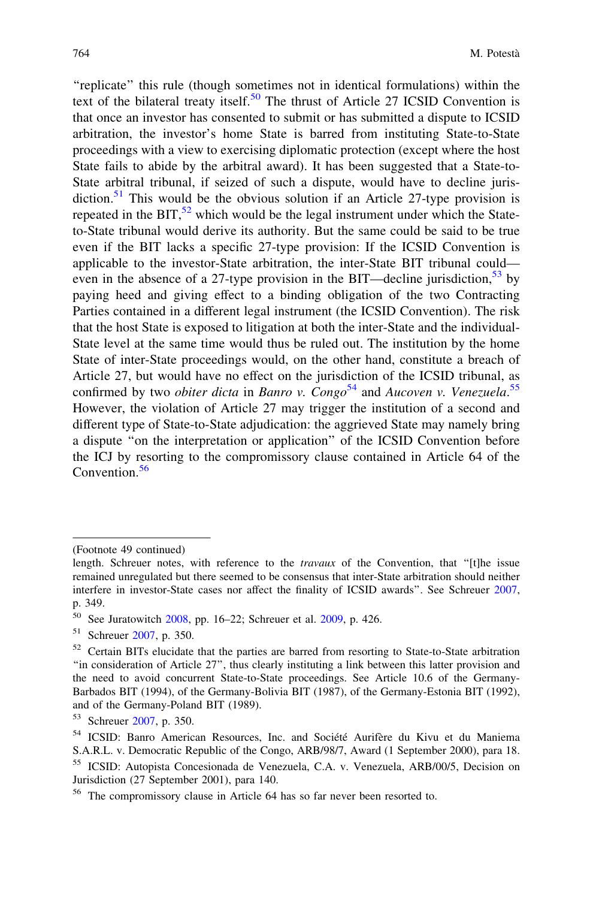''replicate'' this rule (though sometimes not in identical formulations) within the text of the bilateral treaty itself.<sup>50</sup> The thrust of Article 27 ICSID Convention is that once an investor has consented to submit or has submitted a dispute to ICSID arbitration, the investor's home State is barred from instituting State-to-State proceedings with a view to exercising diplomatic protection (except where the host State fails to abide by the arbitral award). It has been suggested that a State-to-State arbitral tribunal, if seized of such a dispute, would have to decline jurisdiction.<sup>51</sup> This would be the obvious solution if an Article 27-type provision is repeated in the  $BIT<sub>52</sub>$  which would be the legal instrument under which the Stateto-State tribunal would derive its authority. But the same could be said to be true even if the BIT lacks a specific 27-type provision: If the ICSID Convention is applicable to the investor-State arbitration, the inter-State BIT tribunal could even in the absence of a 27-type provision in the BIT—decline jurisdiction,  $53 \text{ by}$ paying heed and giving effect to a binding obligation of the two Contracting Parties contained in a different legal instrument (the ICSID Convention). The risk that the host State is exposed to litigation at both the inter-State and the individual-State level at the same time would thus be ruled out. The institution by the home State of inter-State proceedings would, on the other hand, constitute a breach of Article 27, but would have no effect on the jurisdiction of the ICSID tribunal, as confirmed by two *obiter dicta* in *Banro v. Congo*<sup>54</sup> and *Aucoven v. Venezuela.*<sup>55</sup> However, the violation of Article 27 may trigger the institution of a second and different type of State-to-State adjudication: the aggrieved State may namely bring a dispute ''on the interpretation or application'' of the ICSID Convention before the ICJ by resorting to the compromissory clause contained in Article 64 of the Convention.<sup>56</sup>

<sup>(</sup>Footnote 49 continued)

length. Schreuer notes, with reference to the *travaux* of the Convention, that "[t]he issue remained unregulated but there seemed to be consensus that inter-State arbitration should neither interfere in investor-State cases nor affect the finality of ICSID awards''. See Schreuer [2007](#page-15-0), p. 349.

<sup>50</sup> See Juratowitch [2008,](#page-14-0) pp. 16–22; Schreuer et al. [2009](#page-15-0), p. 426.

<sup>51</sup> Schreuer [2007](#page-15-0), p. 350.

<sup>&</sup>lt;sup>52</sup> Certain BITs elucidate that the parties are barred from resorting to State-to-State arbitration ''in consideration of Article 27'', thus clearly instituting a link between this latter provision and the need to avoid concurrent State-to-State proceedings. See Article 10.6 of the Germany-Barbados BIT (1994), of the Germany-Bolivia BIT (1987), of the Germany-Estonia BIT (1992), and of the Germany-Poland BIT (1989).

<sup>53</sup> Schreuer [2007](#page-15-0), p. 350.

<sup>54</sup> ICSID: Banro American Resources, Inc. and Société Aurifère du Kivu et du Maniema S.A.R.L. v. Democratic Republic of the Congo, ARB/98/7, Award (1 September 2000), para 18. <sup>55</sup> ICSID: Autopista Concesionada de Venezuela, C.A. v. Venezuela, ARB/00/5, Decision on Jurisdiction (27 September 2001), para 140.

<sup>56</sup> The compromissory clause in Article 64 has so far never been resorted to.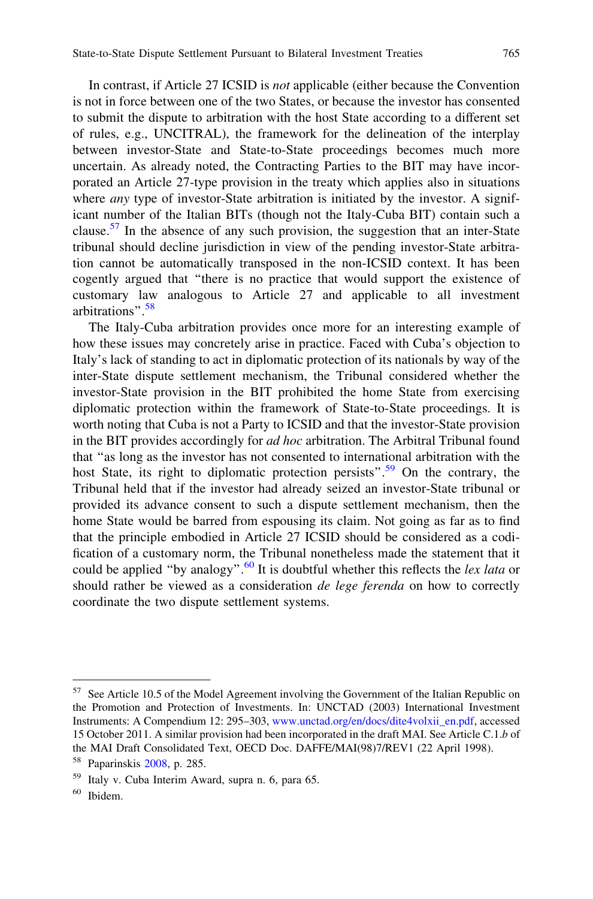In contrast, if Article 27 ICSID is not applicable (either because the Convention is not in force between one of the two States, or because the investor has consented to submit the dispute to arbitration with the host State according to a different set of rules, e.g., UNCITRAL), the framework for the delineation of the interplay between investor-State and State-to-State proceedings becomes much more uncertain. As already noted, the Contracting Parties to the BIT may have incorporated an Article 27-type provision in the treaty which applies also in situations where *any* type of investor-State arbitration is initiated by the investor. A significant number of the Italian BITs (though not the Italy-Cuba BIT) contain such a clause.<sup>57</sup> In the absence of any such provision, the suggestion that an inter-State tribunal should decline jurisdiction in view of the pending investor-State arbitration cannot be automatically transposed in the non-ICSID context. It has been cogently argued that ''there is no practice that would support the existence of customary law analogous to Article 27 and applicable to all investment arbitrations''.58

The Italy-Cuba arbitration provides once more for an interesting example of how these issues may concretely arise in practice. Faced with Cuba's objection to Italy's lack of standing to act in diplomatic protection of its nationals by way of the inter-State dispute settlement mechanism, the Tribunal considered whether the investor-State provision in the BIT prohibited the home State from exercising diplomatic protection within the framework of State-to-State proceedings. It is worth noting that Cuba is not a Party to ICSID and that the investor-State provision in the BIT provides accordingly for ad hoc arbitration. The Arbitral Tribunal found that ''as long as the investor has not consented to international arbitration with the host State, its right to diplomatic protection persists".<sup>59</sup> On the contrary, the Tribunal held that if the investor had already seized an investor-State tribunal or provided its advance consent to such a dispute settlement mechanism, then the home State would be barred from espousing its claim. Not going as far as to find that the principle embodied in Article 27 ICSID should be considered as a codification of a customary norm, the Tribunal nonetheless made the statement that it could be applied "by analogy".<sup>60</sup> It is doubtful whether this reflects the *lex lata* or should rather be viewed as a consideration *de lege ferenda* on how to correctly coordinate the two dispute settlement systems.

<sup>&</sup>lt;sup>57</sup> See Article 10.5 of the Model Agreement involving the Government of the Italian Republic on the Promotion and Protection of Investments. In: UNCTAD (2003) International Investment Instruments: A Compendium 12: 295–303, [www.unctad.org/en/docs/dite4volxii\\_en.pdf,](http://www.unctad.org/en/docs/dite4volxii_en.pdf) accessed 15 October 2011. A similar provision had been incorporated in the draft MAI. See Article C.1.b of the MAI Draft Consolidated Text, OECD Doc. DAFFE/MAI(98)7/REV1 (22 April 1998).

<sup>58</sup> Paparinskis [2008](#page-14-0), p. 285.

<sup>59</sup> Italy v. Cuba Interim Award, supra n. 6, para 65.

<sup>60</sup> Ibidem.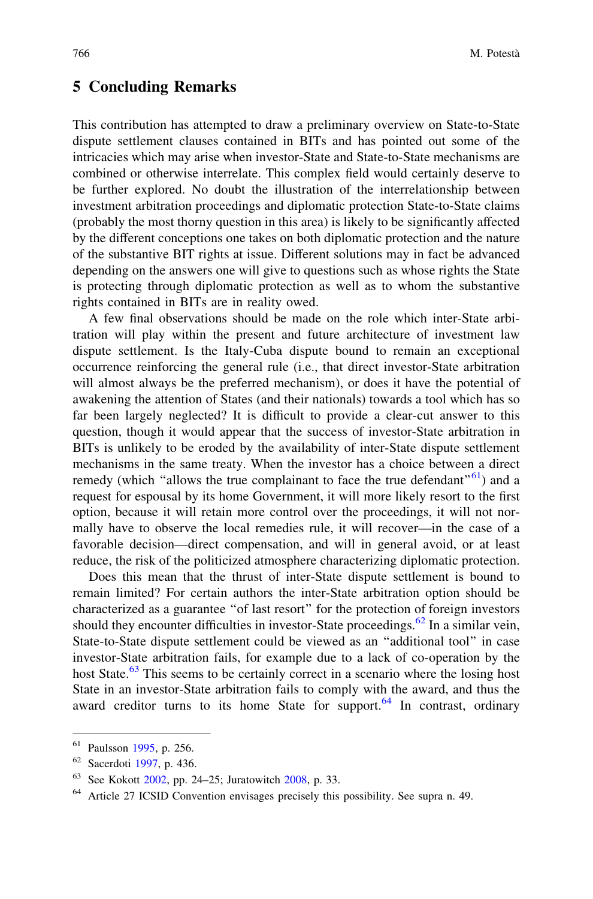### 5 Concluding Remarks

This contribution has attempted to draw a preliminary overview on State-to-State dispute settlement clauses contained in BITs and has pointed out some of the intricacies which may arise when investor-State and State-to-State mechanisms are combined or otherwise interrelate. This complex field would certainly deserve to be further explored. No doubt the illustration of the interrelationship between investment arbitration proceedings and diplomatic protection State-to-State claims (probably the most thorny question in this area) is likely to be significantly affected by the different conceptions one takes on both diplomatic protection and the nature of the substantive BIT rights at issue. Different solutions may in fact be advanced depending on the answers one will give to questions such as whose rights the State is protecting through diplomatic protection as well as to whom the substantive rights contained in BITs are in reality owed.

A few final observations should be made on the role which inter-State arbitration will play within the present and future architecture of investment law dispute settlement. Is the Italy-Cuba dispute bound to remain an exceptional occurrence reinforcing the general rule (i.e., that direct investor-State arbitration will almost always be the preferred mechanism), or does it have the potential of awakening the attention of States (and their nationals) towards a tool which has so far been largely neglected? It is difficult to provide a clear-cut answer to this question, though it would appear that the success of investor-State arbitration in BITs is unlikely to be eroded by the availability of inter-State dispute settlement mechanisms in the same treaty. When the investor has a choice between a direct remedy (which "allows the true complainant to face the true defendant"<sup>61</sup>) and a request for espousal by its home Government, it will more likely resort to the first option, because it will retain more control over the proceedings, it will not normally have to observe the local remedies rule, it will recover—in the case of a favorable decision—direct compensation, and will in general avoid, or at least reduce, the risk of the politicized atmosphere characterizing diplomatic protection.

Does this mean that the thrust of inter-State dispute settlement is bound to remain limited? For certain authors the inter-State arbitration option should be characterized as a guarantee ''of last resort'' for the protection of foreign investors should they encounter difficulties in investor-State proceedings.<sup>62</sup> In a similar vein, State-to-State dispute settlement could be viewed as an ''additional tool'' in case investor-State arbitration fails, for example due to a lack of co-operation by the host State.<sup>63</sup> This seems to be certainly correct in a scenario where the losing host State in an investor-State arbitration fails to comply with the award, and thus the award creditor turns to its home State for support. $64$  In contrast, ordinary

<sup>61</sup> Paulsson [1995](#page-15-0), p. 256.

<sup>62</sup> Sacerdoti [1997](#page-15-0), p. 436.

<sup>63</sup> See Kokott [2002,](#page-14-0) pp. 24–25; Juratowitch [2008,](#page-14-0) p. 33.

<sup>64</sup> Article 27 ICSID Convention envisages precisely this possibility. See supra n. 49.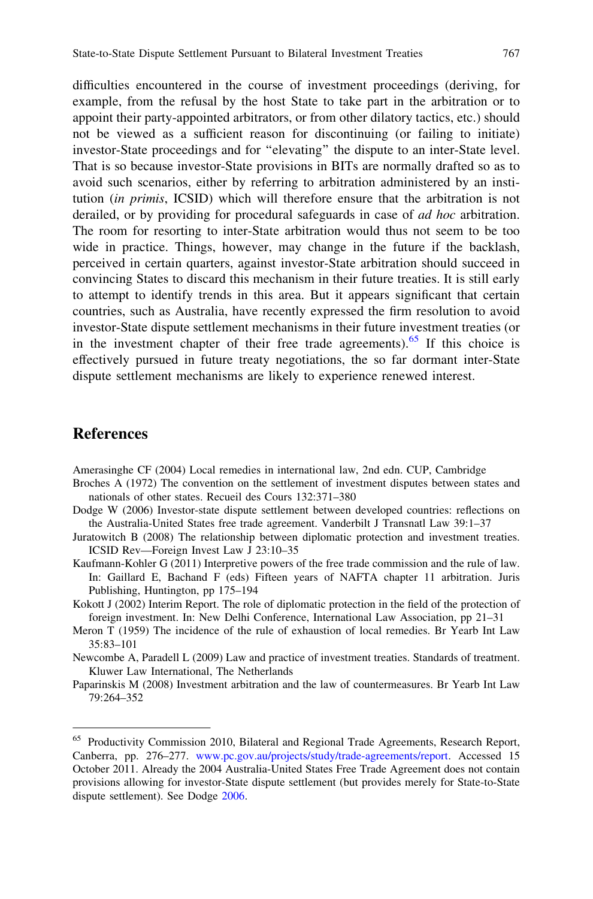<span id="page-14-0"></span>difficulties encountered in the course of investment proceedings (deriving, for example, from the refusal by the host State to take part in the arbitration or to appoint their party-appointed arbitrators, or from other dilatory tactics, etc.) should not be viewed as a sufficient reason for discontinuing (or failing to initiate) investor-State proceedings and for ''elevating'' the dispute to an inter-State level. That is so because investor-State provisions in BITs are normally drafted so as to avoid such scenarios, either by referring to arbitration administered by an institution (in primis, ICSID) which will therefore ensure that the arbitration is not derailed, or by providing for procedural safeguards in case of *ad hoc* arbitration. The room for resorting to inter-State arbitration would thus not seem to be too wide in practice. Things, however, may change in the future if the backlash, perceived in certain quarters, against investor-State arbitration should succeed in convincing States to discard this mechanism in their future treaties. It is still early to attempt to identify trends in this area. But it appears significant that certain countries, such as Australia, have recently expressed the firm resolution to avoid investor-State dispute settlement mechanisms in their future investment treaties (or in the investment chapter of their free trade agreements).<sup>65</sup> If this choice is effectively pursued in future treaty negotiations, the so far dormant inter-State dispute settlement mechanisms are likely to experience renewed interest.

### References

Amerasinghe CF (2004) Local remedies in international law, 2nd edn. CUP, Cambridge

- Broches A (1972) The convention on the settlement of investment disputes between states and nationals of other states. Recueil des Cours 132:371–380
- Dodge W (2006) Investor-state dispute settlement between developed countries: reflections on the Australia-United States free trade agreement. Vanderbilt J Transnatl Law 39:1–37
- Juratowitch B (2008) The relationship between diplomatic protection and investment treaties. ICSID Rev—Foreign Invest Law J 23:10–35
- Kaufmann-Kohler G (2011) Interpretive powers of the free trade commission and the rule of law. In: Gaillard E, Bachand F (eds) Fifteen years of NAFTA chapter 11 arbitration. Juris Publishing, Huntington, pp 175–194
- Kokott J (2002) Interim Report. The role of diplomatic protection in the field of the protection of foreign investment. In: New Delhi Conference, International Law Association, pp 21–31
- Meron T (1959) The incidence of the rule of exhaustion of local remedies. Br Yearb Int Law 35:83–101
- Newcombe A, Paradell L (2009) Law and practice of investment treaties. Standards of treatment. Kluwer Law International, The Netherlands
- Paparinskis M (2008) Investment arbitration and the law of countermeasures. Br Yearb Int Law 79:264–352

<sup>&</sup>lt;sup>65</sup> Productivity Commission 2010, Bilateral and Regional Trade Agreements, Research Report, Canberra, pp. 276–277. [www.pc.gov.au/projects/study/trade-agreements/report](http://www.pc.gov.au/projects/study/trade-agreements/report). Accessed 15 October 2011. Already the 2004 Australia-United States Free Trade Agreement does not contain provisions allowing for investor-State dispute settlement (but provides merely for State-to-State dispute settlement). See Dodge 2006.